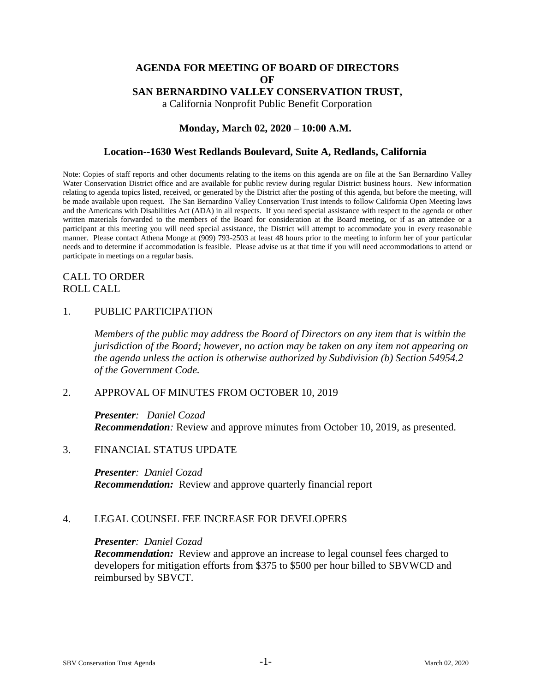# **AGENDA FOR MEETING OF BOARD OF DIRECTORS OF SAN BERNARDINO VALLEY CONSERVATION TRUST,**

a California Nonprofit Public Benefit Corporation

# **Monday, March 02, 2020 – 10:00 A.M.**

### **Location--1630 West Redlands Boulevard, Suite A, Redlands, California**

Note: Copies of staff reports and other documents relating to the items on this agenda are on file at the San Bernardino Valley Water Conservation District office and are available for public review during regular District business hours. New information relating to agenda topics listed, received, or generated by the District after the posting of this agenda, but before the meeting, will be made available upon request. The San Bernardino Valley Conservation Trust intends to follow California Open Meeting laws and the Americans with Disabilities Act (ADA) in all respects. If you need special assistance with respect to the agenda or other written materials forwarded to the members of the Board for consideration at the Board meeting, or if as an attendee or a participant at this meeting you will need special assistance, the District will attempt to accommodate you in every reasonable manner. Please contact Athena Monge at (909) 793-2503 at least 48 hours prior to the meeting to inform her of your particular needs and to determine if accommodation is feasible. Please advise us at that time if you will need accommodations to attend or participate in meetings on a regular basis.

# CALL TO ORDER ROLL CALL

### 1. PUBLIC PARTICIPATION

*Members of the public may address the Board of Directors on any item that is within the jurisdiction of the Board; however, no action may be taken on any item not appearing on the agenda unless the action is otherwise authorized by Subdivision (b) Section 54954.2 of the Government Code.*

### 2. APPROVAL OF MINUTES FROM OCTOBER 10, 2019

*Presenter: Daniel Cozad Recommendation:* Review and approve minutes from October 10, 2019, as presented.

#### 3. FINANCIAL STATUS UPDATE

#### *Presenter: Daniel Cozad*

*Recommendation:* Review and approve quarterly financial report

### 4. LEGAL COUNSEL FEE INCREASE FOR DEVELOPERS

#### *Presenter: Daniel Cozad*

*Recommendation:* Review and approve an increase to legal counsel fees charged to developers for mitigation efforts from \$375 to \$500 per hour billed to SBVWCD and reimbursed by SBVCT.